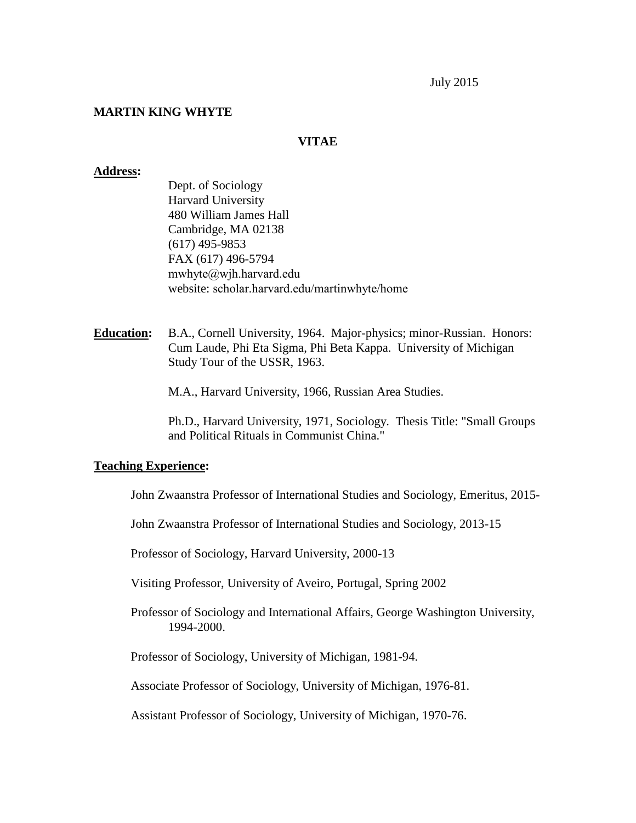July 2015

### **MARTIN KING WHYTE**

#### **VITAE**

#### **Address:**

- Dept. of Sociology Harvard University 480 William James Hall Cambridge, MA 02138 (617) 495-9853 FAX (617) 496-5794 [mwhyte@wjh.harvard.edu](mailto:mwhyte@wjh.harvard.edu) website: scholar.harvard.edu/martinwhyte/home
- **Education:** B.A., Cornell University, 1964. Major-physics; minor-Russian. Honors: Cum Laude, Phi Eta Sigma, Phi Beta Kappa. University of Michigan Study Tour of the USSR, 1963.

M.A., Harvard University, 1966, Russian Area Studies.

Ph.D., Harvard University, 1971, Sociology. Thesis Title: "Small Groups and Political Rituals in Communist China."

#### **Teaching Experience:**

John Zwaanstra Professor of International Studies and Sociology, Emeritus, 2015-

John Zwaanstra Professor of International Studies and Sociology, 2013-15

Professor of Sociology, Harvard University, 2000-13

Visiting Professor, University of Aveiro, Portugal, Spring 2002

Professor of Sociology and International Affairs, George Washington University, 1994-2000.

Professor of Sociology, University of Michigan, 1981-94.

Associate Professor of Sociology, University of Michigan, 1976-81.

Assistant Professor of Sociology, University of Michigan, 1970-76.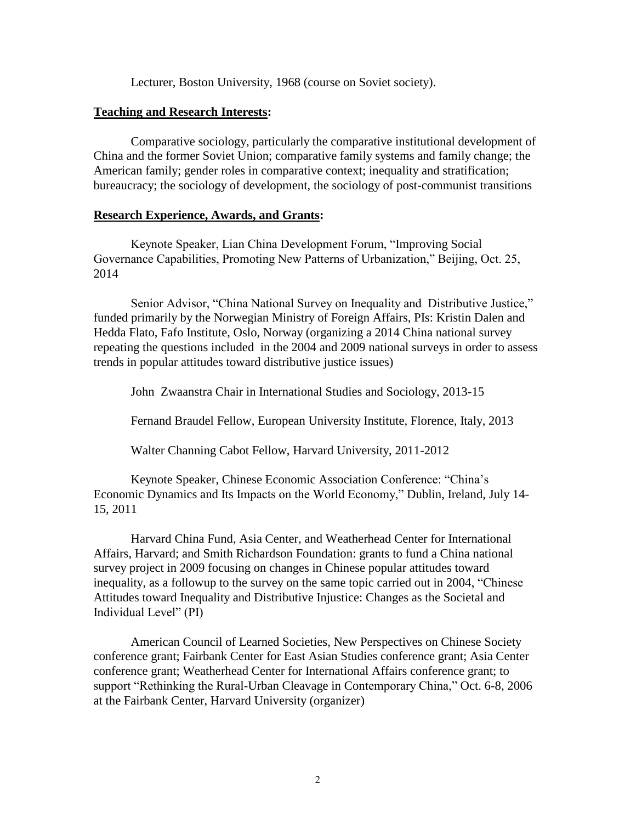Lecturer, Boston University, 1968 (course on Soviet society).

# **Teaching and Research Interests:**

Comparative sociology, particularly the comparative institutional development of China and the former Soviet Union; comparative family systems and family change; the American family; gender roles in comparative context; inequality and stratification; bureaucracy; the sociology of development, the sociology of post-communist transitions

# **Research Experience, Awards, and Grants:**

Keynote Speaker, Lian China Development Forum, "Improving Social Governance Capabilities, Promoting New Patterns of Urbanization," Beijing, Oct. 25, 2014

Senior Advisor, "China National Survey on Inequality and Distributive Justice," funded primarily by the Norwegian Ministry of Foreign Affairs, PIs: Kristin Dalen and Hedda Flato, Fafo Institute, Oslo, Norway (organizing a 2014 China national survey repeating the questions included in the 2004 and 2009 national surveys in order to assess trends in popular attitudes toward distributive justice issues)

John Zwaanstra Chair in International Studies and Sociology, 2013-15

Fernand Braudel Fellow, European University Institute, Florence, Italy, 2013

Walter Channing Cabot Fellow, Harvard University, 2011-2012

Keynote Speaker, Chinese Economic Association Conference: "China's Economic Dynamics and Its Impacts on the World Economy," Dublin, Ireland, July 14- 15, 2011

Harvard China Fund, Asia Center, and Weatherhead Center for International Affairs, Harvard; and Smith Richardson Foundation: grants to fund a China national survey project in 2009 focusing on changes in Chinese popular attitudes toward inequality, as a followup to the survey on the same topic carried out in 2004, "Chinese Attitudes toward Inequality and Distributive Injustice: Changes as the Societal and Individual Level" (PI)

American Council of Learned Societies, New Perspectives on Chinese Society conference grant; Fairbank Center for East Asian Studies conference grant; Asia Center conference grant; Weatherhead Center for International Affairs conference grant; to support "Rethinking the Rural-Urban Cleavage in Contemporary China," Oct. 6-8, 2006 at the Fairbank Center, Harvard University (organizer)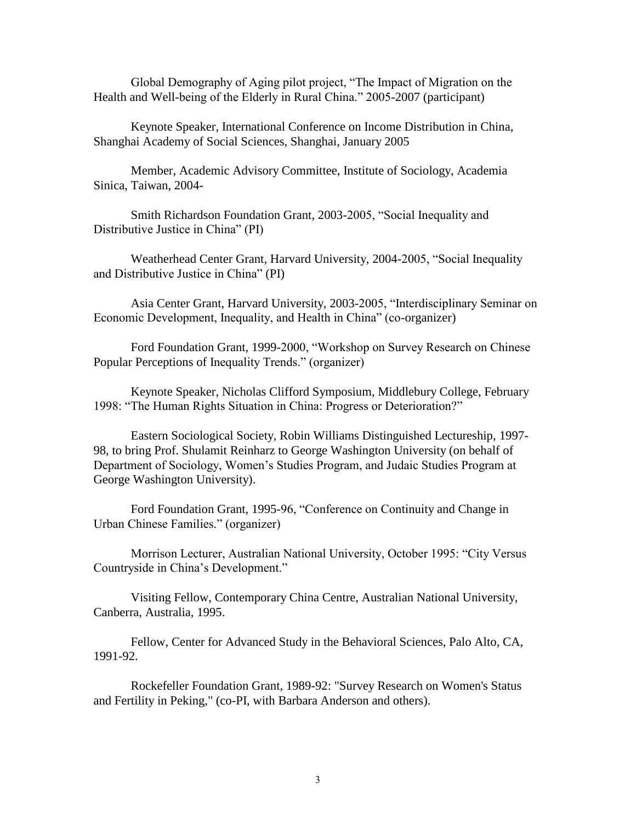Global Demography of Aging pilot project, "The Impact of Migration on the Health and Well-being of the Elderly in Rural China." 2005-2007 (participant)

Keynote Speaker, International Conference on Income Distribution in China, Shanghai Academy of Social Sciences, Shanghai, January 2005

Member, Academic Advisory Committee, Institute of Sociology, Academia Sinica, Taiwan, 2004-

Smith Richardson Foundation Grant, 2003-2005, "Social Inequality and Distributive Justice in China" (PI)

Weatherhead Center Grant, Harvard University, 2004-2005, "Social Inequality and Distributive Justice in China" (PI)

Asia Center Grant, Harvard University, 2003-2005, "Interdisciplinary Seminar on Economic Development, Inequality, and Health in China" (co-organizer)

Ford Foundation Grant, 1999-2000, "Workshop on Survey Research on Chinese Popular Perceptions of Inequality Trends." (organizer)

Keynote Speaker, Nicholas Clifford Symposium, Middlebury College, February 1998: "The Human Rights Situation in China: Progress or Deterioration?"

Eastern Sociological Society, Robin Williams Distinguished Lectureship, 1997- 98, to bring Prof. Shulamit Reinharz to George Washington University (on behalf of Department of Sociology, Women's Studies Program, and Judaic Studies Program at George Washington University).

Ford Foundation Grant, 1995-96, "Conference on Continuity and Change in Urban Chinese Families." (organizer)

Morrison Lecturer, Australian National University, October 1995: "City Versus Countryside in China's Development."

Visiting Fellow, Contemporary China Centre, Australian National University, Canberra, Australia, 1995.

Fellow, Center for Advanced Study in the Behavioral Sciences, Palo Alto, CA, 1991-92.

Rockefeller Foundation Grant, 1989-92: "Survey Research on Women's Status and Fertility in Peking," (co-PI, with Barbara Anderson and others).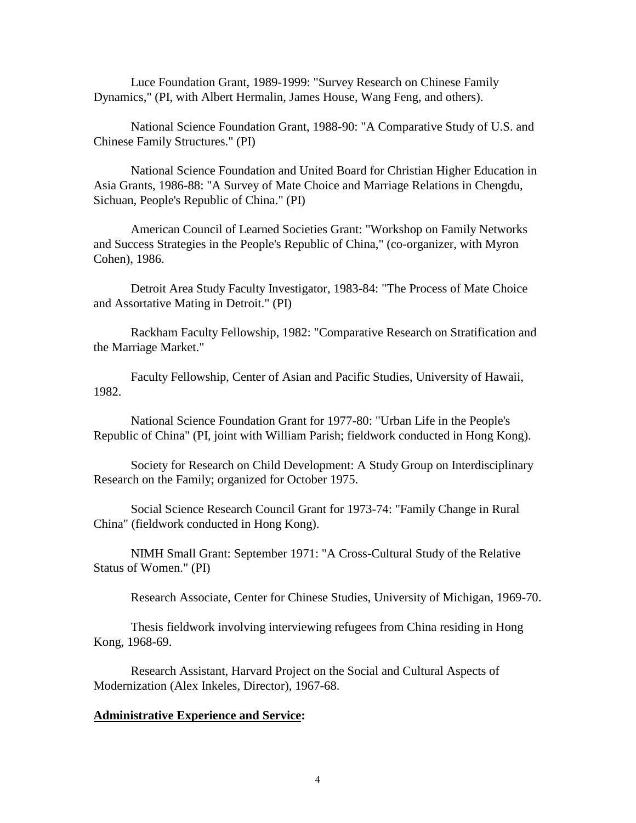Luce Foundation Grant, 1989-1999: "Survey Research on Chinese Family Dynamics," (PI, with Albert Hermalin, James House, Wang Feng, and others).

National Science Foundation Grant, 1988-90: "A Comparative Study of U.S. and Chinese Family Structures." (PI)

National Science Foundation and United Board for Christian Higher Education in Asia Grants, 1986-88: "A Survey of Mate Choice and Marriage Relations in Chengdu, Sichuan, People's Republic of China." (PI)

American Council of Learned Societies Grant: "Workshop on Family Networks and Success Strategies in the People's Republic of China," (co-organizer, with Myron Cohen), 1986.

Detroit Area Study Faculty Investigator, 1983-84: "The Process of Mate Choice and Assortative Mating in Detroit." (PI)

Rackham Faculty Fellowship, 1982: "Comparative Research on Stratification and the Marriage Market."

Faculty Fellowship, Center of Asian and Pacific Studies, University of Hawaii, 1982.

National Science Foundation Grant for 1977-80: "Urban Life in the People's Republic of China" (PI, joint with William Parish; fieldwork conducted in Hong Kong).

Society for Research on Child Development: A Study Group on Interdisciplinary Research on the Family; organized for October 1975.

Social Science Research Council Grant for 1973-74: "Family Change in Rural China" (fieldwork conducted in Hong Kong).

NIMH Small Grant: September 1971: "A Cross-Cultural Study of the Relative Status of Women." (PI)

Research Associate, Center for Chinese Studies, University of Michigan, 1969-70.

Thesis fieldwork involving interviewing refugees from China residing in Hong Kong, 1968-69.

Research Assistant, Harvard Project on the Social and Cultural Aspects of Modernization (Alex Inkeles, Director), 1967-68.

#### **Administrative Experience and Service:**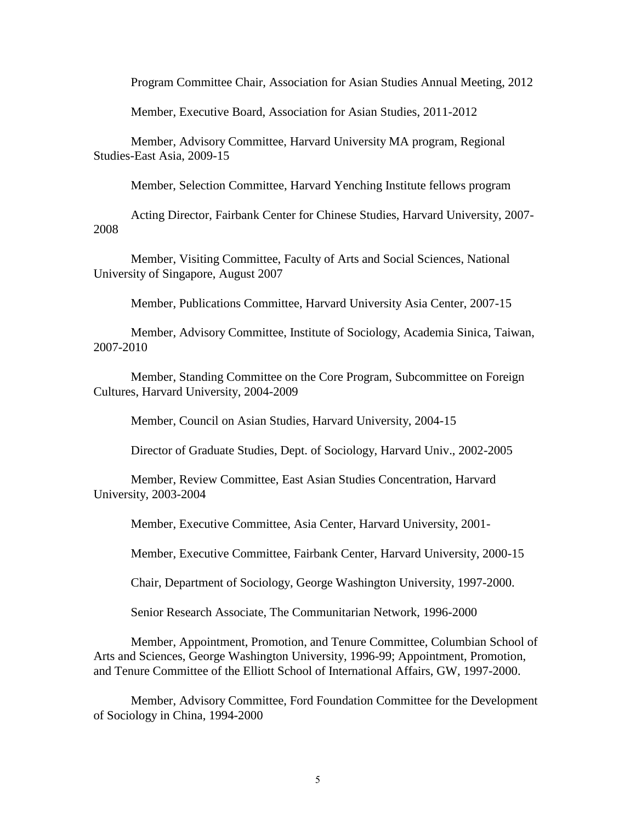Program Committee Chair, Association for Asian Studies Annual Meeting, 2012

Member, Executive Board, Association for Asian Studies, 2011-2012

Member, Advisory Committee, Harvard University MA program, Regional Studies-East Asia, 2009-15

Member, Selection Committee, Harvard Yenching Institute fellows program

Acting Director, Fairbank Center for Chinese Studies, Harvard University, 2007- 2008

Member, Visiting Committee, Faculty of Arts and Social Sciences, National University of Singapore, August 2007

Member, Publications Committee, Harvard University Asia Center, 2007-15

Member, Advisory Committee, Institute of Sociology, Academia Sinica, Taiwan, 2007-2010

Member, Standing Committee on the Core Program, Subcommittee on Foreign Cultures, Harvard University, 2004-2009

Member, Council on Asian Studies, Harvard University, 2004-15

Director of Graduate Studies, Dept. of Sociology, Harvard Univ., 2002-2005

Member, Review Committee, East Asian Studies Concentration, Harvard University, 2003-2004

Member, Executive Committee, Asia Center, Harvard University, 2001-

Member, Executive Committee, Fairbank Center, Harvard University, 2000-15

Chair, Department of Sociology, George Washington University, 1997-2000.

Senior Research Associate, The Communitarian Network, 1996-2000

Member, Appointment, Promotion, and Tenure Committee, Columbian School of Arts and Sciences, George Washington University, 1996-99; Appointment, Promotion, and Tenure Committee of the Elliott School of International Affairs, GW, 1997-2000.

Member, Advisory Committee, Ford Foundation Committee for the Development of Sociology in China, 1994-2000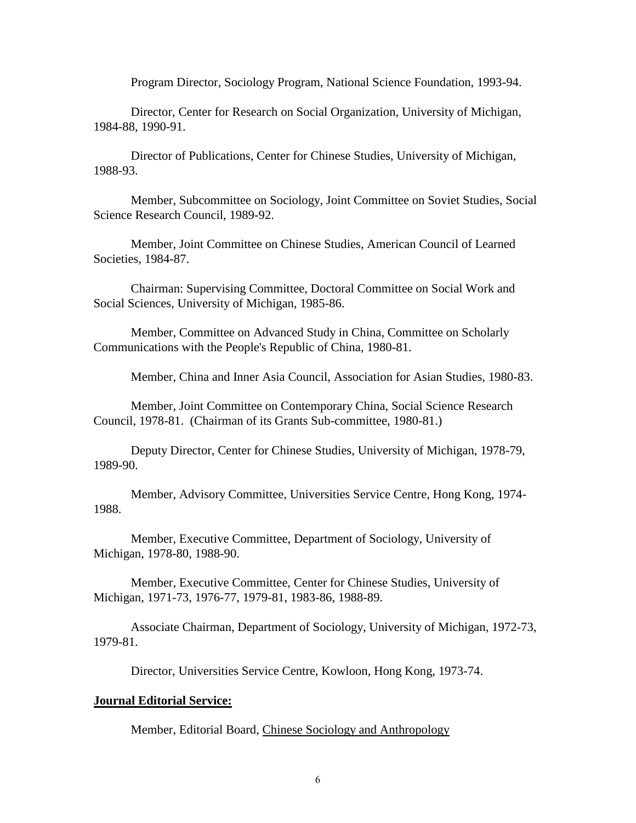Program Director, Sociology Program, National Science Foundation, 1993-94.

Director, Center for Research on Social Organization, University of Michigan, 1984-88, 1990-91.

Director of Publications, Center for Chinese Studies, University of Michigan, 1988-93.

Member, Subcommittee on Sociology, Joint Committee on Soviet Studies, Social Science Research Council, 1989-92.

Member, Joint Committee on Chinese Studies, American Council of Learned Societies, 1984-87.

Chairman: Supervising Committee, Doctoral Committee on Social Work and Social Sciences, University of Michigan, 1985-86.

Member, Committee on Advanced Study in China, Committee on Scholarly Communications with the People's Republic of China, 1980-81.

Member, China and Inner Asia Council, Association for Asian Studies, 1980-83.

Member, Joint Committee on Contemporary China, Social Science Research Council, 1978-81. (Chairman of its Grants Sub-committee, 1980-81.)

Deputy Director, Center for Chinese Studies, University of Michigan, 1978-79, 1989-90.

Member, Advisory Committee, Universities Service Centre, Hong Kong, 1974- 1988.

Member, Executive Committee, Department of Sociology, University of Michigan, 1978-80, 1988-90.

Member, Executive Committee, Center for Chinese Studies, University of Michigan, 1971-73, 1976-77, 1979-81, 1983-86, 1988-89.

Associate Chairman, Department of Sociology, University of Michigan, 1972-73, 1979-81.

Director, Universities Service Centre, Kowloon, Hong Kong, 1973-74.

#### **Journal Editorial Service:**

Member, Editorial Board, Chinese Sociology and Anthropology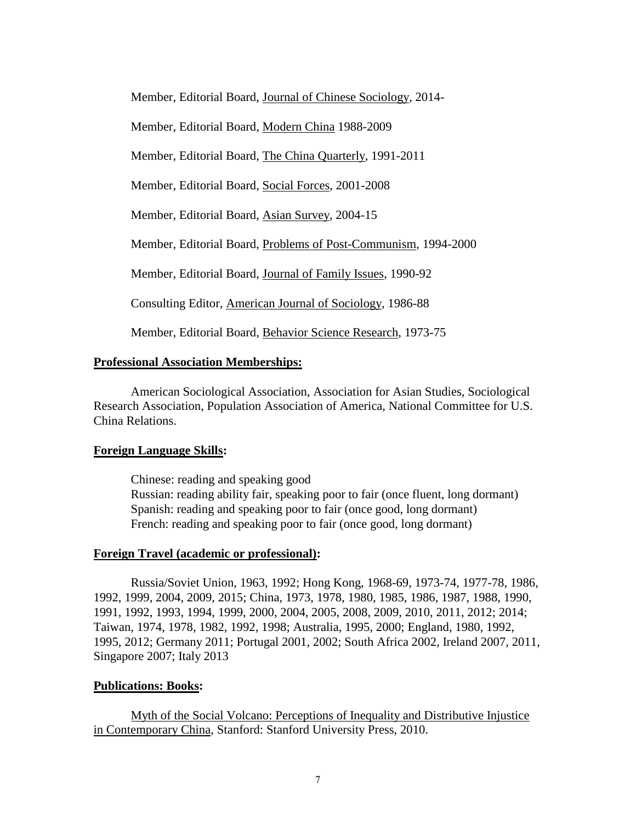Member, Editorial Board, Journal of Chinese Sociology, 2014-

Member, Editorial Board, Modern China 1988-2009

Member, Editorial Board, The China Quarterly, 1991-2011

Member, Editorial Board, Social Forces, 2001-2008

Member, Editorial Board, Asian Survey, 2004-15

Member, Editorial Board, Problems of Post-Communism, 1994-2000

Member, Editorial Board, Journal of Family Issues, 1990-92

Consulting Editor, American Journal of Sociology, 1986-88

Member, Editorial Board, Behavior Science Research, 1973-75

# **Professional Association Memberships:**

American Sociological Association, Association for Asian Studies, Sociological Research Association, Population Association of America, National Committee for U.S. China Relations.

# **Foreign Language Skills:**

Chinese: reading and speaking good Russian: reading ability fair, speaking poor to fair (once fluent, long dormant) Spanish: reading and speaking poor to fair (once good, long dormant) French: reading and speaking poor to fair (once good, long dormant)

## **Foreign Travel (academic or professional):**

Russia/Soviet Union, 1963, 1992; Hong Kong, 1968-69, 1973-74, 1977-78, 1986, 1992, 1999, 2004, 2009, 2015; China, 1973, 1978, 1980, 1985, 1986, 1987, 1988, 1990, 1991, 1992, 1993, 1994, 1999, 2000, 2004, 2005, 2008, 2009, 2010, 2011, 2012; 2014; Taiwan, 1974, 1978, 1982, 1992, 1998; Australia, 1995, 2000; England, 1980, 1992, 1995, 2012; Germany 2011; Portugal 2001, 2002; South Africa 2002, Ireland 2007, 2011, Singapore 2007; Italy 2013

# **Publications: Books:**

Myth of the Social Volcano: Perceptions of Inequality and Distributive Injustice in Contemporary China, Stanford: Stanford University Press, 2010.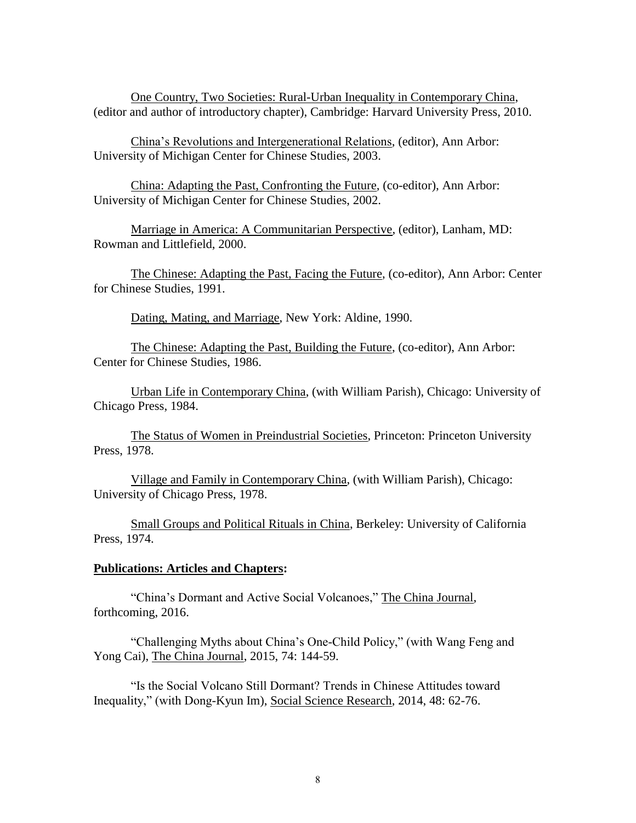One Country, Two Societies: Rural-Urban Inequality in Contemporary China, (editor and author of introductory chapter), Cambridge: Harvard University Press, 2010.

China's Revolutions and Intergenerational Relations, (editor), Ann Arbor: University of Michigan Center for Chinese Studies, 2003.

China: Adapting the Past, Confronting the Future, (co-editor), Ann Arbor: University of Michigan Center for Chinese Studies, 2002.

Marriage in America: A Communitarian Perspective, (editor), Lanham, MD: Rowman and Littlefield, 2000.

The Chinese: Adapting the Past, Facing the Future, (co-editor), Ann Arbor: Center for Chinese Studies, 1991.

Dating, Mating, and Marriage, New York: Aldine, 1990.

The Chinese: Adapting the Past, Building the Future, (co-editor), Ann Arbor: Center for Chinese Studies, 1986.

Urban Life in Contemporary China, (with William Parish), Chicago: University of Chicago Press, 1984.

The Status of Women in Preindustrial Societies, Princeton: Princeton University Press, 1978.

Village and Family in Contemporary China, (with William Parish), Chicago: University of Chicago Press, 1978.

Small Groups and Political Rituals in China, Berkeley: University of California Press, 1974.

## **Publications: Articles and Chapters:**

"China's Dormant and Active Social Volcanoes," The China Journal, forthcoming, 2016.

"Challenging Myths about China's One-Child Policy," (with Wang Feng and Yong Cai), The China Journal, 2015, 74: 144-59.

"Is the Social Volcano Still Dormant? Trends in Chinese Attitudes toward Inequality," (with Dong-Kyun Im), Social Science Research, 2014, 48: 62-76.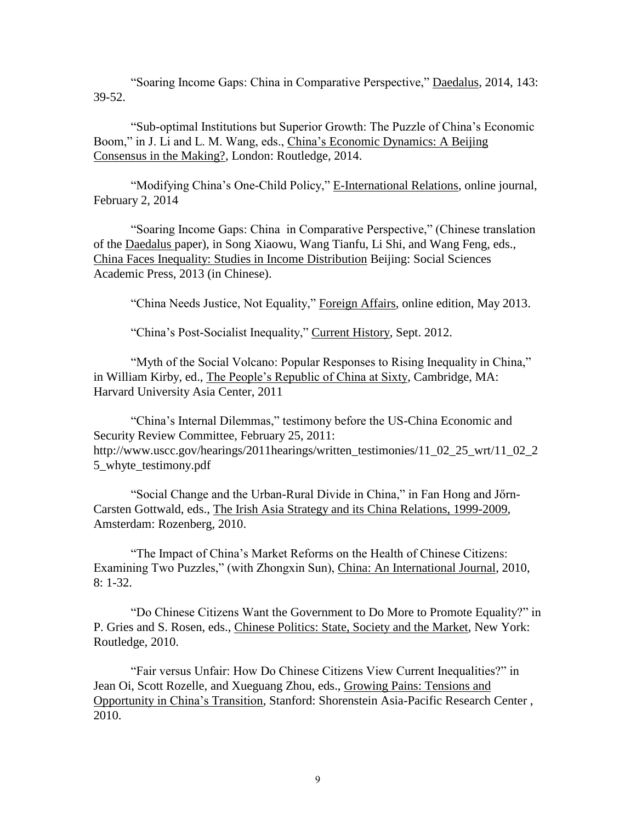"Soaring Income Gaps: China in Comparative Perspective," Daedalus, 2014, 143: 39-52.

"Sub-optimal Institutions but Superior Growth: The Puzzle of China's Economic Boom," in J. Li and L. M. Wang, eds., China's Economic Dynamics: A Beijing Consensus in the Making?, London: Routledge, 2014.

"Modifying China's One-Child Policy," E-International Relations, online journal, February 2, 2014

"Soaring Income Gaps: China in Comparative Perspective," (Chinese translation of the Daedalus paper), in Song Xiaowu, Wang Tianfu, Li Shi, and Wang Feng, eds., China Faces Inequality: Studies in Income Distribution Beijing: Social Sciences Academic Press, 2013 (in Chinese).

"China Needs Justice, Not Equality," Foreign Affairs, online edition, May 2013.

"China's Post-Socialist Inequality," Current History, Sept. 2012.

"Myth of the Social Volcano: Popular Responses to Rising Inequality in China," in William Kirby, ed., The People's Republic of China at Sixty, Cambridge, MA: Harvard University Asia Center, 2011

"China's Internal Dilemmas," testimony before the US-China Economic and Security Review Committee, February 25, 2011: http://www.uscc.gov/hearings/2011hearings/written\_testimonies/11\_02\_25\_wrt/11\_02\_2 5 whyte testimony.pdf

"Social Change and the Urban-Rural Divide in China," in Fan Hong and Jőrn-Carsten Gottwald, eds., The Irish Asia Strategy and its China Relations, 1999-2009, Amsterdam: Rozenberg, 2010.

"The Impact of China's Market Reforms on the Health of Chinese Citizens: Examining Two Puzzles," (with Zhongxin Sun), China: An International Journal, 2010, 8: 1-32.

"Do Chinese Citizens Want the Government to Do More to Promote Equality?" in P. Gries and S. Rosen, eds., Chinese Politics: State, Society and the Market, New York: Routledge, 2010.

"Fair versus Unfair: How Do Chinese Citizens View Current Inequalities?" in Jean Oi, Scott Rozelle, and Xueguang Zhou, eds., Growing Pains: Tensions and Opportunity in China's Transition, Stanford: Shorenstein Asia-Pacific Research Center , 2010.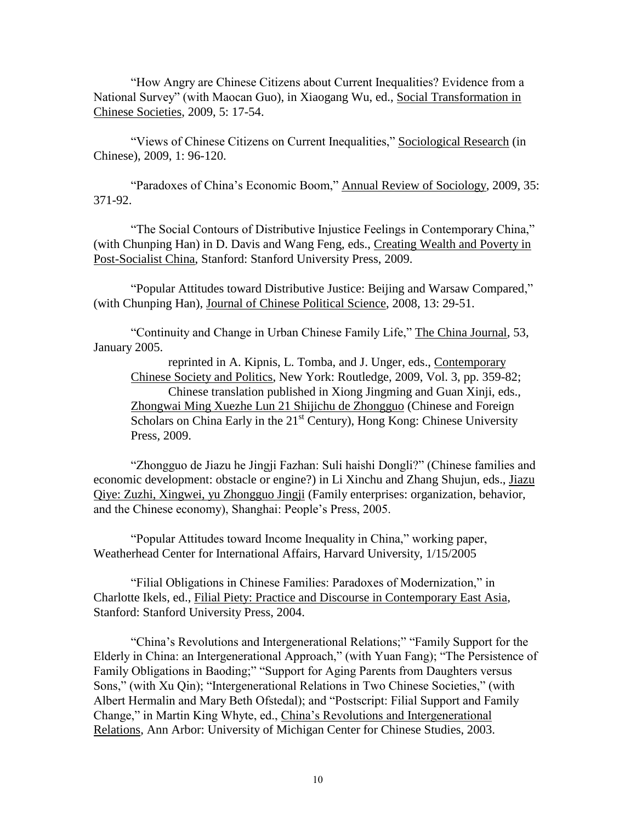"How Angry are Chinese Citizens about Current Inequalities? Evidence from a National Survey" (with Maocan Guo), in Xiaogang Wu, ed., Social Transformation in Chinese Societies, 2009, 5: 17-54.

"Views of Chinese Citizens on Current Inequalities," Sociological Research (in Chinese), 2009, 1: 96-120.

"Paradoxes of China's Economic Boom," Annual Review of Sociology, 2009, 35: 371-92.

"The Social Contours of Distributive Injustice Feelings in Contemporary China," (with Chunping Han) in D. Davis and Wang Feng, eds., Creating Wealth and Poverty in Post-Socialist China, Stanford: Stanford University Press, 2009.

"Popular Attitudes toward Distributive Justice: Beijing and Warsaw Compared," (with Chunping Han), Journal of Chinese Political Science, 2008, 13: 29-51.

"Continuity and Change in Urban Chinese Family Life," The China Journal, 53, January 2005.

reprinted in A. Kipnis, L. Tomba, and J. Unger, eds., Contemporary Chinese Society and Politics, New York: Routledge, 2009, Vol. 3, pp. 359-82; Chinese translation published in Xiong Jingming and Guan Xinji, eds., Zhongwai Ming Xuezhe Lun 21 Shijichu de Zhongguo (Chinese and Foreign Scholars on China Early in the 21<sup>st</sup> Century), Hong Kong: Chinese University Press, 2009.

"Zhongguo de Jiazu he Jingji Fazhan: Suli haishi Dongli?" (Chinese families and economic development: obstacle or engine?) in Li Xinchu and Zhang Shujun, eds., Jiazu Qiye: Zuzhi, Xingwei, yu Zhongguo Jingji (Family enterprises: organization, behavior, and the Chinese economy), Shanghai: People's Press, 2005.

"Popular Attitudes toward Income Inequality in China," working paper, Weatherhead Center for International Affairs, Harvard University, 1/15/2005

"Filial Obligations in Chinese Families: Paradoxes of Modernization," in Charlotte Ikels, ed., Filial Piety: Practice and Discourse in Contemporary East Asia, Stanford: Stanford University Press, 2004.

"China's Revolutions and Intergenerational Relations;" "Family Support for the Elderly in China: an Intergenerational Approach," (with Yuan Fang); "The Persistence of Family Obligations in Baoding;" "Support for Aging Parents from Daughters versus Sons," (with Xu Qin); "Intergenerational Relations in Two Chinese Societies," (with Albert Hermalin and Mary Beth Ofstedal); and "Postscript: Filial Support and Family Change," in Martin King Whyte, ed., China's Revolutions and Intergenerational Relations, Ann Arbor: University of Michigan Center for Chinese Studies, 2003.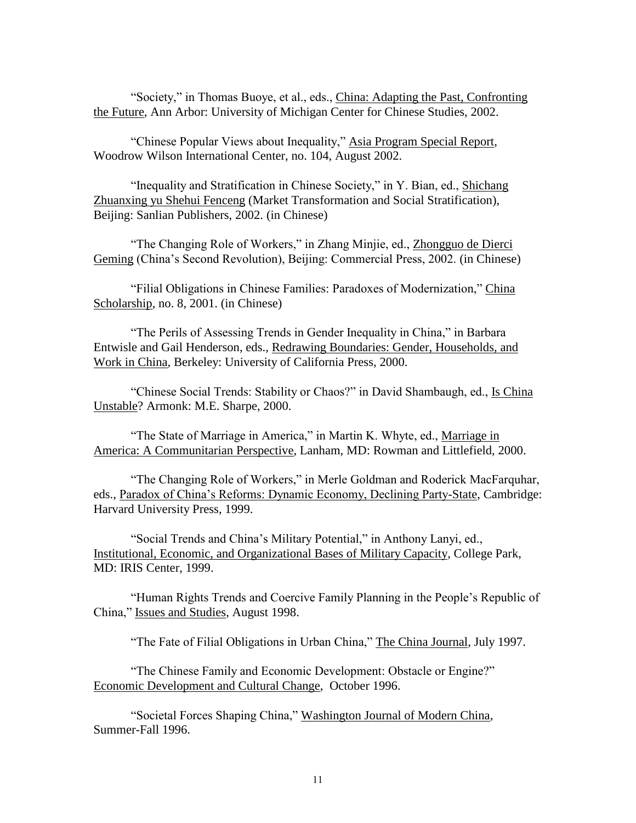"Society," in Thomas Buoye, et al., eds., China: Adapting the Past, Confronting the Future, Ann Arbor: University of Michigan Center for Chinese Studies, 2002.

"Chinese Popular Views about Inequality," Asia Program Special Report, Woodrow Wilson International Center, no. 104, August 2002.

"Inequality and Stratification in Chinese Society," in Y. Bian, ed., Shichang Zhuanxing yu Shehui Fenceng (Market Transformation and Social Stratification), Beijing: Sanlian Publishers, 2002. (in Chinese)

"The Changing Role of Workers," in Zhang Minjie, ed., Zhongguo de Dierci Geming (China's Second Revolution), Beijing: Commercial Press, 2002. (in Chinese)

"Filial Obligations in Chinese Families: Paradoxes of Modernization," China Scholarship, no. 8, 2001. (in Chinese)

"The Perils of Assessing Trends in Gender Inequality in China," in Barbara Entwisle and Gail Henderson, eds., Redrawing Boundaries: Gender, Households, and Work in China, Berkeley: University of California Press, 2000.

"Chinese Social Trends: Stability or Chaos?" in David Shambaugh, ed., Is China Unstable? Armonk: M.E. Sharpe, 2000.

"The State of Marriage in America," in Martin K. Whyte, ed., Marriage in America: A Communitarian Perspective, Lanham, MD: Rowman and Littlefield, 2000.

"The Changing Role of Workers," in Merle Goldman and Roderick MacFarquhar, eds., Paradox of China's Reforms: Dynamic Economy, Declining Party-State, Cambridge: Harvard University Press, 1999.

"Social Trends and China's Military Potential," in Anthony Lanyi, ed., Institutional, Economic, and Organizational Bases of Military Capacity, College Park, MD: IRIS Center, 1999.

"Human Rights Trends and Coercive Family Planning in the People's Republic of China," Issues and Studies, August 1998.

"The Fate of Filial Obligations in Urban China," The China Journal, July 1997.

"The Chinese Family and Economic Development: Obstacle or Engine?" Economic Development and Cultural Change, October 1996.

"Societal Forces Shaping China," Washington Journal of Modern China, Summer-Fall 1996.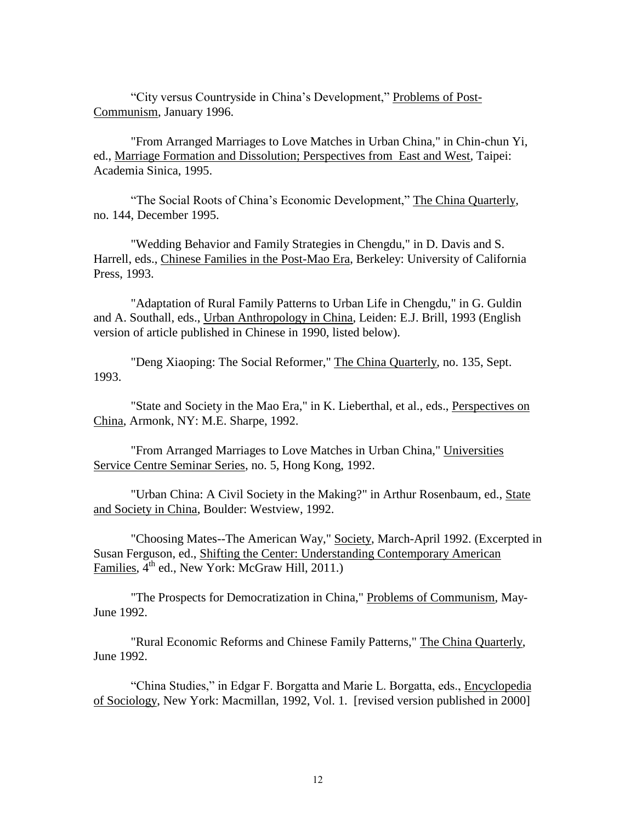"City versus Countryside in China's Development," Problems of Post-Communism, January 1996.

"From Arranged Marriages to Love Matches in Urban China," in Chin-chun Yi, ed., Marriage Formation and Dissolution; Perspectives from East and West, Taipei: Academia Sinica, 1995.

"The Social Roots of China's Economic Development," The China Quarterly, no. 144, December 1995.

"Wedding Behavior and Family Strategies in Chengdu," in D. Davis and S. Harrell, eds., Chinese Families in the Post-Mao Era, Berkeley: University of California Press, 1993.

"Adaptation of Rural Family Patterns to Urban Life in Chengdu," in G. Guldin and A. Southall, eds., Urban Anthropology in China, Leiden: E.J. Brill, 1993 (English version of article published in Chinese in 1990, listed below).

"Deng Xiaoping: The Social Reformer," The China Quarterly, no. 135, Sept. 1993.

"State and Society in the Mao Era," in K. Lieberthal, et al., eds., Perspectives on China, Armonk, NY: M.E. Sharpe, 1992.

"From Arranged Marriages to Love Matches in Urban China," Universities Service Centre Seminar Series, no. 5, Hong Kong, 1992.

"Urban China: A Civil Society in the Making?" in Arthur Rosenbaum, ed., State and Society in China, Boulder: Westview, 1992.

"Choosing Mates--The American Way," Society, March-April 1992. (Excerpted in Susan Ferguson, ed., Shifting the Center: Understanding Contemporary American Families,  $4<sup>th</sup>$  ed., New York: McGraw Hill, 2011.)

"The Prospects for Democratization in China," Problems of Communism, May-June 1992.

"Rural Economic Reforms and Chinese Family Patterns," The China Quarterly, June 1992.

"China Studies," in Edgar F. Borgatta and Marie L. Borgatta, eds., Encyclopedia of Sociology, New York: Macmillan, 1992, Vol. 1. [revised version published in 2000]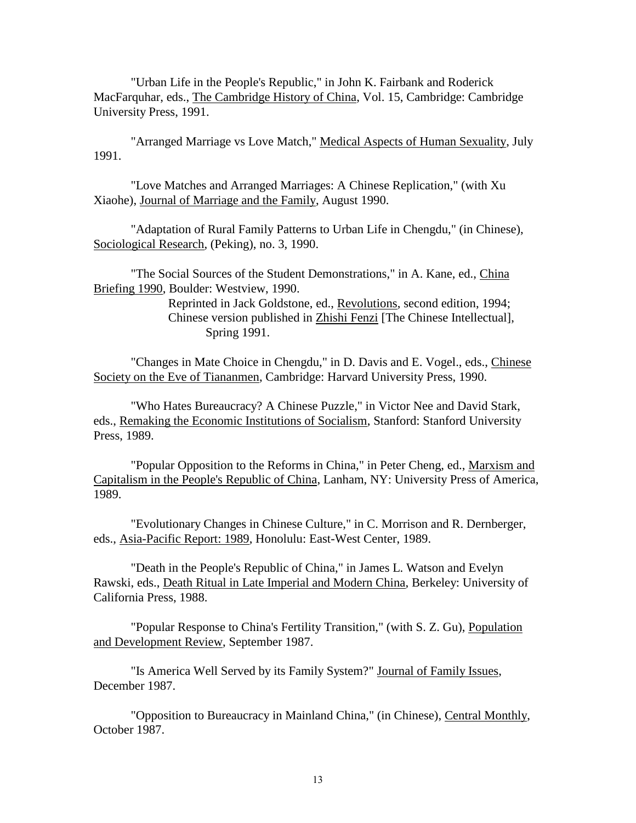"Urban Life in the People's Republic," in John K. Fairbank and Roderick MacFarquhar, eds., The Cambridge History of China, Vol. 15, Cambridge: Cambridge University Press, 1991.

"Arranged Marriage vs Love Match," Medical Aspects of Human Sexuality, July 1991.

"Love Matches and Arranged Marriages: A Chinese Replication," (with Xu Xiaohe), Journal of Marriage and the Family, August 1990.

"Adaptation of Rural Family Patterns to Urban Life in Chengdu," (in Chinese), Sociological Research, (Peking), no. 3, 1990.

"The Social Sources of the Student Demonstrations," in A. Kane, ed., China Briefing 1990, Boulder: Westview, 1990.

> Reprinted in Jack Goldstone, ed., Revolutions, second edition, 1994; Chinese version published in Zhishi Fenzi [The Chinese Intellectual], Spring 1991.

"Changes in Mate Choice in Chengdu," in D. Davis and E. Vogel., eds., Chinese Society on the Eve of Tiananmen, Cambridge: Harvard University Press, 1990.

"Who Hates Bureaucracy? A Chinese Puzzle," in Victor Nee and David Stark, eds., Remaking the Economic Institutions of Socialism, Stanford: Stanford University Press, 1989.

"Popular Opposition to the Reforms in China," in Peter Cheng, ed., Marxism and Capitalism in the People's Republic of China, Lanham, NY: University Press of America, 1989.

"Evolutionary Changes in Chinese Culture," in C. Morrison and R. Dernberger, eds., Asia-Pacific Report: 1989, Honolulu: East-West Center, 1989.

"Death in the People's Republic of China," in James L. Watson and Evelyn Rawski, eds., Death Ritual in Late Imperial and Modern China, Berkeley: University of California Press, 1988.

"Popular Response to China's Fertility Transition," (with S. Z. Gu), Population and Development Review, September 1987.

"Is America Well Served by its Family System?" Journal of Family Issues, December 1987.

"Opposition to Bureaucracy in Mainland China," (in Chinese), Central Monthly, October 1987.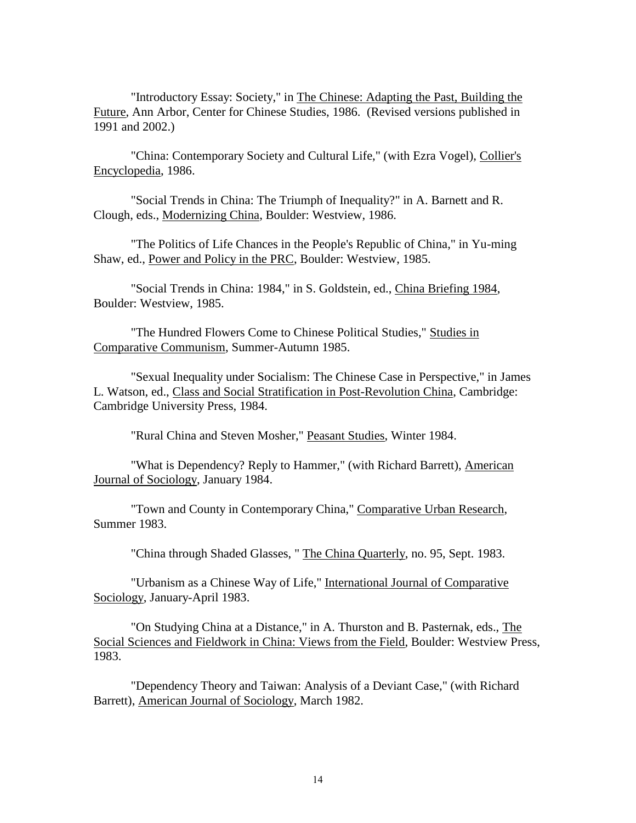"Introductory Essay: Society," in The Chinese: Adapting the Past, Building the Future, Ann Arbor, Center for Chinese Studies, 1986. (Revised versions published in 1991 and 2002.)

"China: Contemporary Society and Cultural Life," (with Ezra Vogel), Collier's Encyclopedia, 1986.

"Social Trends in China: The Triumph of Inequality?" in A. Barnett and R. Clough, eds., Modernizing China, Boulder: Westview, 1986.

"The Politics of Life Chances in the People's Republic of China," in Yu-ming Shaw, ed., Power and Policy in the PRC, Boulder: Westview, 1985.

"Social Trends in China: 1984," in S. Goldstein, ed., China Briefing 1984, Boulder: Westview, 1985.

"The Hundred Flowers Come to Chinese Political Studies," Studies in Comparative Communism, Summer-Autumn 1985.

"Sexual Inequality under Socialism: The Chinese Case in Perspective," in James L. Watson, ed., Class and Social Stratification in Post-Revolution China, Cambridge: Cambridge University Press, 1984.

"Rural China and Steven Mosher," Peasant Studies, Winter 1984.

"What is Dependency? Reply to Hammer," (with Richard Barrett), American Journal of Sociology, January 1984.

"Town and County in Contemporary China," Comparative Urban Research, Summer 1983.

"China through Shaded Glasses, " The China Quarterly, no. 95, Sept. 1983.

"Urbanism as a Chinese Way of Life," International Journal of Comparative Sociology, January-April 1983.

"On Studying China at a Distance," in A. Thurston and B. Pasternak, eds., The Social Sciences and Fieldwork in China: Views from the Field, Boulder: Westview Press, 1983.

"Dependency Theory and Taiwan: Analysis of a Deviant Case," (with Richard Barrett), American Journal of Sociology, March 1982.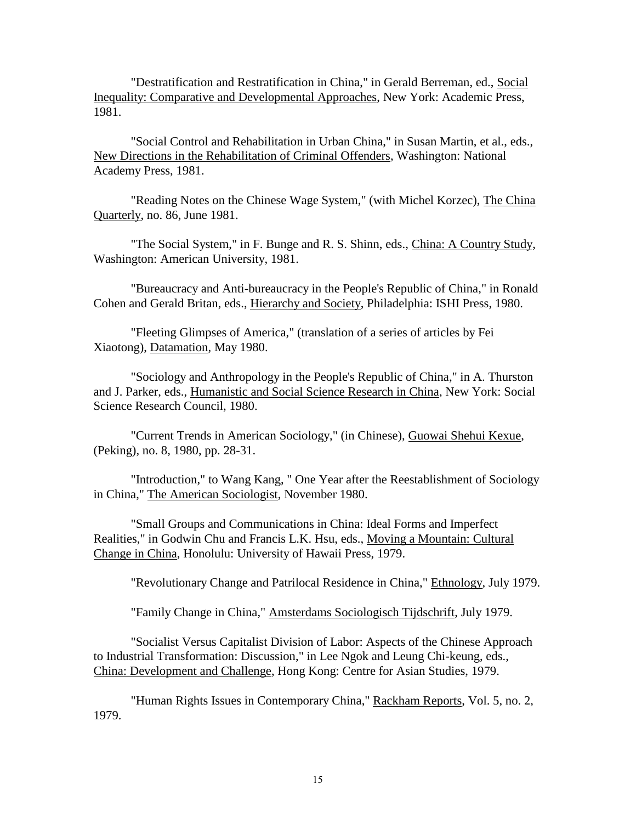"Destratification and Restratification in China," in Gerald Berreman, ed., Social Inequality: Comparative and Developmental Approaches, New York: Academic Press, 1981.

"Social Control and Rehabilitation in Urban China," in Susan Martin, et al., eds., New Directions in the Rehabilitation of Criminal Offenders, Washington: National Academy Press, 1981.

"Reading Notes on the Chinese Wage System," (with Michel Korzec), The China Quarterly, no. 86, June 1981.

"The Social System," in F. Bunge and R. S. Shinn, eds., China: A Country Study, Washington: American University, 1981.

"Bureaucracy and Anti-bureaucracy in the People's Republic of China," in Ronald Cohen and Gerald Britan, eds., Hierarchy and Society, Philadelphia: ISHI Press, 1980.

"Fleeting Glimpses of America," (translation of a series of articles by Fei Xiaotong), Datamation, May 1980.

"Sociology and Anthropology in the People's Republic of China," in A. Thurston and J. Parker, eds., Humanistic and Social Science Research in China, New York: Social Science Research Council, 1980.

"Current Trends in American Sociology," (in Chinese), Guowai Shehui Kexue, (Peking), no. 8, 1980, pp. 28-31.

"Introduction," to Wang Kang, " One Year after the Reestablishment of Sociology in China," The American Sociologist, November 1980.

"Small Groups and Communications in China: Ideal Forms and Imperfect Realities," in Godwin Chu and Francis L.K. Hsu, eds., Moving a Mountain: Cultural Change in China, Honolulu: University of Hawaii Press, 1979.

"Revolutionary Change and Patrilocal Residence in China," Ethnology, July 1979.

"Family Change in China," Amsterdams Sociologisch Tijdschrift, July 1979.

"Socialist Versus Capitalist Division of Labor: Aspects of the Chinese Approach to Industrial Transformation: Discussion," in Lee Ngok and Leung Chi-keung, eds., China: Development and Challenge, Hong Kong: Centre for Asian Studies, 1979.

"Human Rights Issues in Contemporary China," Rackham Reports, Vol. 5, no. 2, 1979.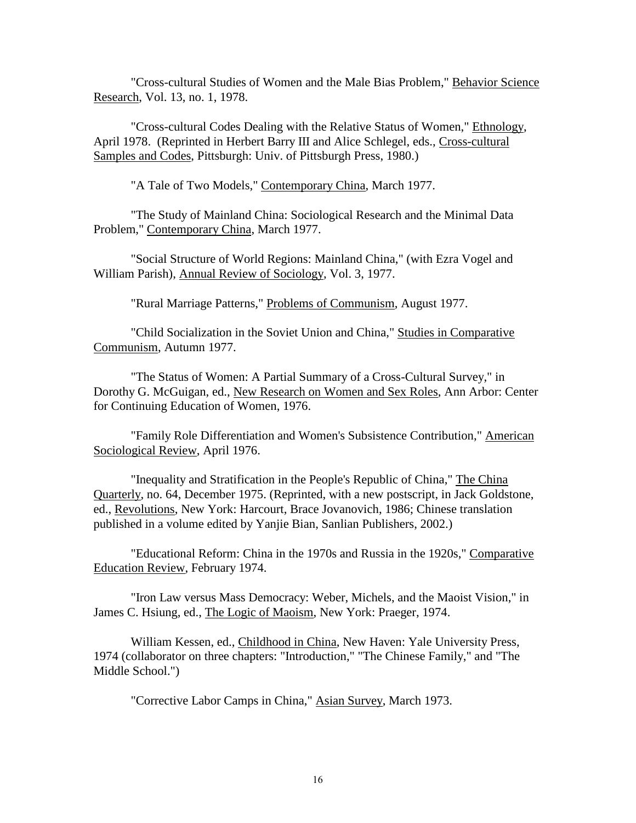"Cross-cultural Studies of Women and the Male Bias Problem," Behavior Science Research, Vol. 13, no. 1, 1978.

"Cross-cultural Codes Dealing with the Relative Status of Women," Ethnology, April 1978. (Reprinted in Herbert Barry III and Alice Schlegel, eds., Cross-cultural Samples and Codes, Pittsburgh: Univ. of Pittsburgh Press, 1980.)

"A Tale of Two Models," Contemporary China, March 1977.

"The Study of Mainland China: Sociological Research and the Minimal Data Problem," Contemporary China, March 1977.

"Social Structure of World Regions: Mainland China," (with Ezra Vogel and William Parish), Annual Review of Sociology, Vol. 3, 1977.

"Rural Marriage Patterns," Problems of Communism, August 1977.

"Child Socialization in the Soviet Union and China," Studies in Comparative Communism, Autumn 1977.

"The Status of Women: A Partial Summary of a Cross-Cultural Survey," in Dorothy G. McGuigan, ed., New Research on Women and Sex Roles, Ann Arbor: Center for Continuing Education of Women, 1976.

"Family Role Differentiation and Women's Subsistence Contribution," American Sociological Review, April 1976.

"Inequality and Stratification in the People's Republic of China," The China Quarterly, no. 64, December 1975. (Reprinted, with a new postscript, in Jack Goldstone, ed., Revolutions, New York: Harcourt, Brace Jovanovich, 1986; Chinese translation published in a volume edited by Yanjie Bian, Sanlian Publishers, 2002.)

"Educational Reform: China in the 1970s and Russia in the 1920s," Comparative Education Review, February 1974.

"Iron Law versus Mass Democracy: Weber, Michels, and the Maoist Vision," in James C. Hsiung, ed., The Logic of Maoism, New York: Praeger, 1974.

William Kessen, ed., Childhood in China, New Haven: Yale University Press, 1974 (collaborator on three chapters: "Introduction," "The Chinese Family," and "The Middle School.")

"Corrective Labor Camps in China," Asian Survey, March 1973.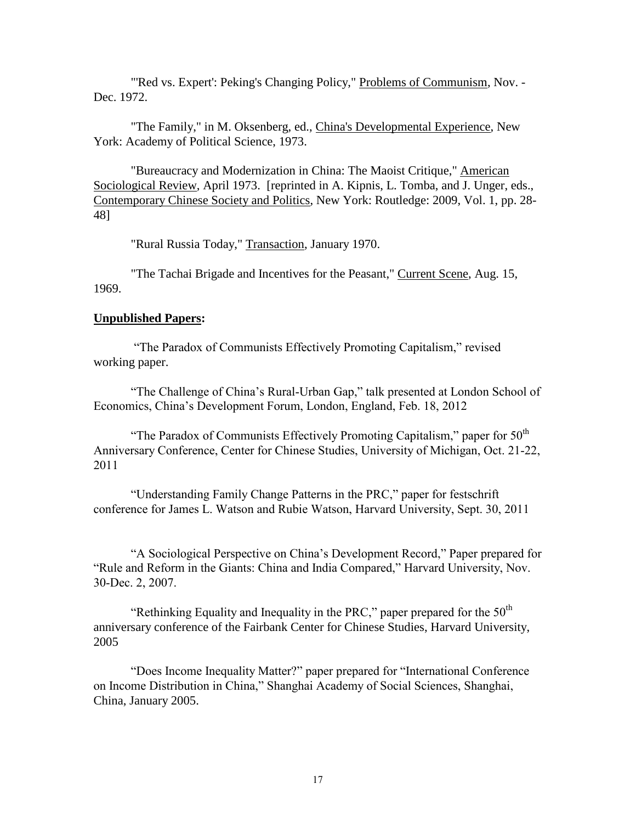"'Red vs. Expert': Peking's Changing Policy," Problems of Communism, Nov. -Dec. 1972.

"The Family," in M. Oksenberg, ed., China's Developmental Experience, New York: Academy of Political Science, 1973.

"Bureaucracy and Modernization in China: The Maoist Critique," American Sociological Review, April 1973. [reprinted in A. Kipnis, L. Tomba, and J. Unger, eds., Contemporary Chinese Society and Politics, New York: Routledge: 2009, Vol. 1, pp. 28- 48]

"Rural Russia Today," Transaction, January 1970.

"The Tachai Brigade and Incentives for the Peasant," Current Scene, Aug. 15, 1969.

# **Unpublished Papers:**

"The Paradox of Communists Effectively Promoting Capitalism," revised working paper.

"The Challenge of China's Rural-Urban Gap," talk presented at London School of Economics, China's Development Forum, London, England, Feb. 18, 2012

"The Paradox of Communists Effectively Promoting Capitalism," paper for  $50<sup>th</sup>$ Anniversary Conference, Center for Chinese Studies, University of Michigan, Oct. 21-22, 2011

"Understanding Family Change Patterns in the PRC," paper for festschrift conference for James L. Watson and Rubie Watson, Harvard University, Sept. 30, 2011

"A Sociological Perspective on China's Development Record," Paper prepared for "Rule and Reform in the Giants: China and India Compared," Harvard University, Nov. 30-Dec. 2, 2007.

"Rethinking Equality and Inequality in the PRC," paper prepared for the  $50<sup>th</sup>$ anniversary conference of the Fairbank Center for Chinese Studies, Harvard University, 2005

"Does Income Inequality Matter?" paper prepared for "International Conference on Income Distribution in China," Shanghai Academy of Social Sciences, Shanghai, China, January 2005.